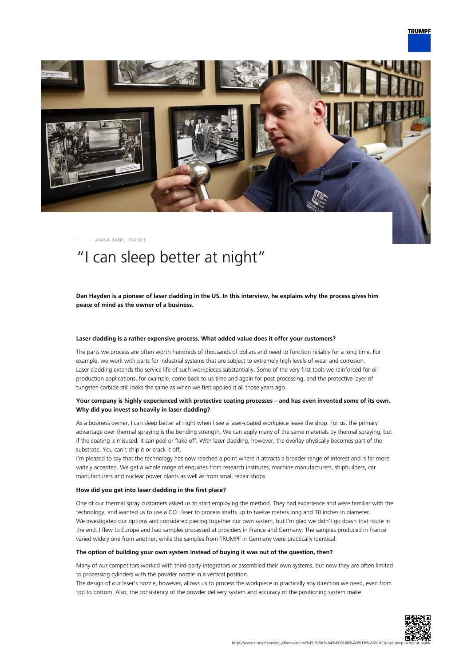

ANIKA BANK, TRAINEE

# "I can sleep better at night"

**Dan Hayden is a pioneer of laser cladding in the US. In this interview, he explains why the process gives him peace of mind as the owner of a business.**

# **Laser cladding is a rather expensive process. What added value does it offer your customers?**

The parts we process are often worth hundreds of thousands of dollars and need to function reliably for a long time. For example, we work with parts for industrial systems that are subject to extremely high levels of wear and corrosion. Laser cladding extends the service life of such workpieces substantially. Some of the very first tools we reinforced for oil production applications, for example, come back to us time and again for post-processing, and the protective layer of tungsten carbide still looks the same as when we first applied it all those years ago.

# **Your company is highly experienced with protective coating processes – and has even invented some of its own. Why did you invest so heavily in laser cladding?**

As a business owner, I can sleep better at night when I see a laser-coated workpiece leave the shop. For us, the primary advantage over thermal spraying is the bonding strength. We can apply many of the same materials by thermal spraying, but if the coating is misused, it can peel or flake off. With laser cladding, however, the overlay physically becomes part of the substrate. You can't chip it or crack it off.

I'm pleased to say that the technology has now reached a point where it attracts a broader range of interest and is far more widely accepted. We get a whole range of enquiries from research institutes, machine manufacturers, shipbuilders, car manufacturers and nuclear power plants as well as from small repair shops.

# **How did you get into laser cladding in the first place?**

One of our thermal spray customers asked us to start employing the method. They had experience and were familiar with the technology, and wanted us to use a CO

alser to process shafts up to twelve meters long and 30 inches in diameter. We investigated our options and considered piecing together our own system, but I'm glad we didn't go down that route in the end. I flew to Europe and had samples processed at providers in France and Germany. The samples produced in France varied widely one from another, while the samples from TRUMPF in Germany were practically identical.

# **The option of building your own system instead of buying it was out of the question, then?**

Many of our competitors worked with third-party integrators or assembled their own systems, but now they are often limited to processing cylinders with the powder nozzle in a vertical position.

The design of our laser's nozzle, however, allows us to process the workpiece in practically any direction we need, even from top to bottom. Also, the consistency of the powder delivery system and accuracy of the positioning system make

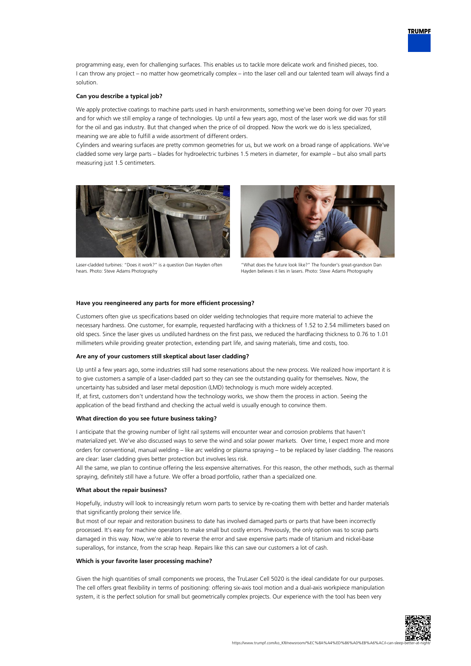

# **Can you describe a typical job?**

solution.

We apply protective coatings to machine parts used in harsh environments, something we've been doing for over 70 years and for which we still employ a range of technologies. Up until a few years ago, most of the laser work we did was for still for the oil and gas industry. But that changed when the price of oil dropped. Now the work we do is less specialized, meaning we are able to fulfill a wide assortment of different orders.

Cylinders and wearing surfaces are pretty common geometries for us, but we work on a broad range of applications. We've cladded some very large parts – blades for hydroelectric turbines 1.5 meters in diameter, for example – but also small parts measuring just 1.5 centimeters.



Laser-cladded turbines: "Does it work?" is a question Dan Hayden often hears. Photo: Steve Adams Photography



"What does the future look like?" The founder's great-grandson Dan Hayden believes it lies in lasers. Photo: Steve Adams Photography

## **Have you reengineered any parts for more efficient processing?**

Customers often give us specifications based on older welding technologies that require more material to achieve the necessary hardness. One customer, for example, requested hardfacing with a thickness of 1.52 to 2.54 millimeters based on old specs. Since the laser gives us undiluted hardness on the first pass, we reduced the hardfacing thickness to 0.76 to 1.01 millimeters while providing greater protection, extending part life, and saving materials, time and costs, too.

#### **Are any of your customers still skeptical about laser cladding?**

Up until a few years ago, some industries still had some reservations about the new process. We realized how important it is to give customers a sample of a laser-cladded part so they can see the outstanding quality for themselves. Now, the uncertainty has subsided and laser metal deposition (LMD) technology is much more widely accepted. If, at first, customers don't understand how the technology works, we show them the process in action. Seeing the application of the bead firsthand and checking the actual weld is usually enough to convince them.

# **What direction do you see future business taking?**

I anticipate that the growing number of light rail systems will encounter wear and corrosion problems that haven't materialized yet. We've also discussed ways to serve the wind and solar power markets. Over time, I expect more and more orders for conventional, manual welding – like arc welding or plasma spraying – to be replaced by laser cladding. The reasons are clear: laser cladding gives better protection but involves less risk.

All the same, we plan to continue offering the less expensive alternatives. For this reason, the other methods, such as thermal spraying, definitely still have a future. We offer a broad portfolio, rather than a specialized one.

# **What about the repair business?**

Hopefully, industry will look to increasingly return worn parts to service by re-coating them with better and harder materials that significantly prolong their service life.

But most of our repair and restoration business to date has involved damaged parts or parts that have been incorrectly processed. It's easy for machine operators to make small but costly errors. Previously, the only option was to scrap parts damaged in this way. Now, we're able to reverse the error and save expensive parts made of titanium and nickel-base superalloys, for instance, from the scrap heap. Repairs like this can save our customers a lot of cash.

## **Which is your favorite laser processing machine?**

Given the high quantities of small components we process, the TruLaser Cell 5020 is the ideal candidate for our purposes. The cell offers great flexibility in terms of positioning: offering six-axis tool motion and a dual-axis workpiece manipulation system, it is the perfect solution for small but geometrically complex projects. Our experience with the tool has been very



**TRUMPF**